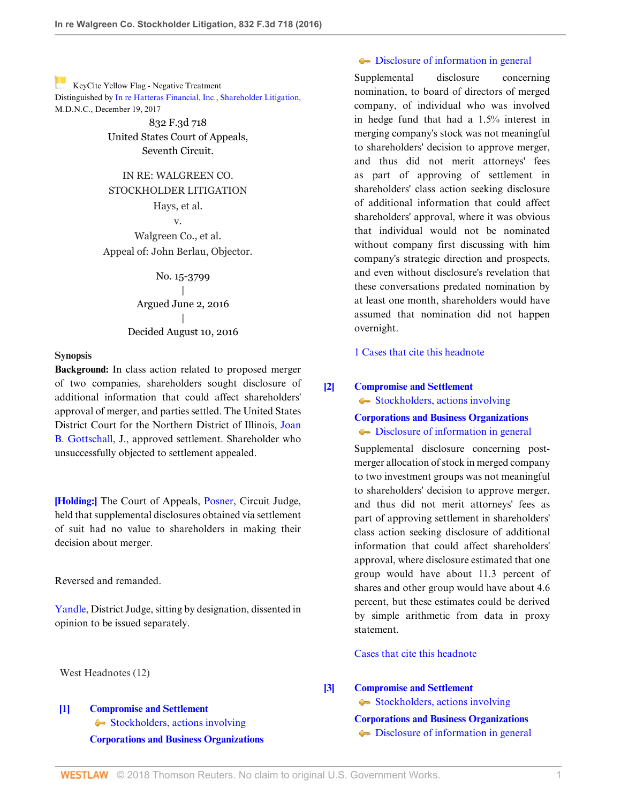[K](https://1.next.westlaw.com/Link/RelatedInformation/Flag?documentGuid=I6cba8df05f9511e69981dc2250b07c82&transitionType=Document&originationContext=docHeaderFlag&contextData=(sc.UserEnteredCitation) )eyCite Yellow Flag - Negative Treatment Distinguished by [In re Hatteras Financial, Inc., Shareholder Litigation,](https://1.next.westlaw.com/Document/I28f23920e58a11e79fcefd9d4766cbba/View/FullText.html?navigationPath=RelatedInfo%2Fv4%2Fkeycite%2Fnav%2F%3Fguid%3DI28f23920e58a11e79fcefd9d4766cbba%26ss%3D2039548207%26ds%3D2043434776&listSource=RelatedInfo&list=NegativeCitingReferences&rank=0&originationContext=docHeader&transitionType=NegativeTreatment&contextData=%28sc.UserEnteredCitation%29 ) M.D.N.C., December 19, 2017

> 832 F.3d 718 United States Court of Appeals, Seventh Circuit.

# IN RE: WALGREEN CO. STOCKHOLDER LITIGATION Hays, et al. v.

Walgreen Co., et al. Appeal of: John Berlau, Objector.

> No. 15-3799 | Argued June 2, 2016 | Decided August 10, 2016

#### **Synopsis**

**Background:** In class action related to proposed merger of two companies, shareholders sought disclosure of additional information that could affect shareholders' approval of merger, and parties settled. The United States District Court for the Northern District of Illinois, [Joan](http://www.westlaw.com/Link/Document/FullText?findType=h&pubNum=176284&cite=0179043601&originatingDoc=I6cba8df05f9511e69981dc2250b07c82&refType=RQ&originationContext=document&vr=3.0&rs=cblt1.0&transitionType=DocumentItem&contextData=(sc.UserEnteredCitation)) [B. Gottschall](http://www.westlaw.com/Link/Document/FullText?findType=h&pubNum=176284&cite=0179043601&originatingDoc=I6cba8df05f9511e69981dc2250b07c82&refType=RQ&originationContext=document&vr=3.0&rs=cblt1.0&transitionType=DocumentItem&contextData=(sc.UserEnteredCitation)), J., approved settlement. Shareholder who unsuccessfully objected to settlement appealed.

**[\[Holding:\]](#page-1-0)** The Court of Appeals, [Posner](http://www.westlaw.com/Link/Document/FullText?findType=h&pubNum=176284&cite=0258143701&originatingDoc=I6cba8df05f9511e69981dc2250b07c82&refType=RQ&originationContext=document&vr=3.0&rs=cblt1.0&transitionType=DocumentItem&contextData=(sc.UserEnteredCitation)), Circuit Judge, held that supplemental disclosures obtained via settlement of suit had no value to shareholders in making their decision about merger.

Reversed and remanded.

[Yandle,](http://www.westlaw.com/Link/Document/FullText?findType=h&pubNum=176284&cite=0486399001&originatingDoc=I6cba8df05f9511e69981dc2250b07c82&refType=RQ&originationContext=document&vr=3.0&rs=cblt1.0&transitionType=DocumentItem&contextData=(sc.UserEnteredCitation)) District Judge, sitting by designation, dissented in opinion to be issued separately.

West Headnotes (12)

# <span id="page-0-0"></span>**[\[1\]](#page-3-0) [Compromise and Settlement](http://www.westlaw.com/Browse/Home/KeyNumber/89/View.html?docGuid=I6cba8df05f9511e69981dc2250b07c82&originationContext=document&vr=3.0&rs=cblt1.0&transitionType=DocumentItem&contextData=(sc.UserEnteredCitation))**  $\blacklozenge$  [Stockholders, actions involving](http://www.westlaw.com/Browse/Home/KeyNumber/89k63/View.html?docGuid=I6cba8df05f9511e69981dc2250b07c82&originationContext=document&vr=3.0&rs=cblt1.0&transitionType=DocumentItem&contextData=(sc.UserEnteredCitation)) **[Corporations and Business Organizations](http://www.westlaw.com/Browse/Home/KeyNumber/101/View.html?docGuid=I6cba8df05f9511e69981dc2250b07c82&originationContext=document&vr=3.0&rs=cblt1.0&transitionType=DocumentItem&contextData=(sc.UserEnteredCitation))**

## $\bullet$  [Disclosure of information in general](http://www.westlaw.com/Browse/Home/KeyNumber/101k2663/View.html?docGuid=I6cba8df05f9511e69981dc2250b07c82&originationContext=document&vr=3.0&rs=cblt1.0&transitionType=DocumentItem&contextData=(sc.UserEnteredCitation))

Supplemental disclosure concerning nomination, to board of directors of merged company, of individual who was involved in hedge fund that had a 1.5% interest in merging company's stock was not meaningful to shareholders' decision to approve merger, and thus did not merit attorneys' fees as part of approving of settlement in shareholders' class action seeking disclosure of additional information that could affect shareholders' approval, where it was obvious that individual would not be nominated without company first discussing with him company's strategic direction and prospects, and even without disclosure's revelation that these conversations predated nomination by at least one month, shareholders would have assumed that nomination did not happen overnight.

[1 Cases that cite this headnote](http://www.westlaw.com/Link/RelatedInformation/DocHeadnoteLink?docGuid=I6cba8df05f9511e69981dc2250b07c82&headnoteId=203954820700320171208075508&originationContext=document&vr=3.0&rs=cblt1.0&transitionType=CitingReferences&contextData=(sc.UserEnteredCitation))

## <span id="page-0-1"></span>**[\[2\]](#page-4-0) [Compromise and Settlement](http://www.westlaw.com/Browse/Home/KeyNumber/89/View.html?docGuid=I6cba8df05f9511e69981dc2250b07c82&originationContext=document&vr=3.0&rs=cblt1.0&transitionType=DocumentItem&contextData=(sc.UserEnteredCitation))**

[Stockholders, actions involving](http://www.westlaw.com/Browse/Home/KeyNumber/89k63/View.html?docGuid=I6cba8df05f9511e69981dc2250b07c82&originationContext=document&vr=3.0&rs=cblt1.0&transitionType=DocumentItem&contextData=(sc.UserEnteredCitation))

**[Corporations and Business Organizations](http://www.westlaw.com/Browse/Home/KeyNumber/101/View.html?docGuid=I6cba8df05f9511e69981dc2250b07c82&originationContext=document&vr=3.0&rs=cblt1.0&transitionType=DocumentItem&contextData=(sc.UserEnteredCitation))**  $\bullet$  [Disclosure of information in general](http://www.westlaw.com/Browse/Home/KeyNumber/101k2663/View.html?docGuid=I6cba8df05f9511e69981dc2250b07c82&originationContext=document&vr=3.0&rs=cblt1.0&transitionType=DocumentItem&contextData=(sc.UserEnteredCitation))

Supplemental disclosure concerning postmerger allocation of stock in merged company to two investment groups was not meaningful to shareholders' decision to approve merger, and thus did not merit attorneys' fees as part of approving settlement in shareholders' class action seeking disclosure of additional information that could affect shareholders' approval, where disclosure estimated that one group would have about 11.3 percent of shares and other group would have about 4.6 percent, but these estimates could be derived by simple arithmetic from data in proxy statement.

## [Cases that cite this headnote](http://www.westlaw.com/Link/RelatedInformation/DocHeadnoteLink?docGuid=I6cba8df05f9511e69981dc2250b07c82&headnoteId=203954820700420171208075508&originationContext=document&vr=3.0&rs=cblt1.0&transitionType=CitingReferences&contextData=(sc.UserEnteredCitation))

## <span id="page-0-2"></span>**[\[3\]](#page-4-1) [Compromise and Settlement](http://www.westlaw.com/Browse/Home/KeyNumber/89/View.html?docGuid=I6cba8df05f9511e69981dc2250b07c82&originationContext=document&vr=3.0&rs=cblt1.0&transitionType=DocumentItem&contextData=(sc.UserEnteredCitation))**

[Stockholders, actions involving](http://www.westlaw.com/Browse/Home/KeyNumber/89k63/View.html?docGuid=I6cba8df05f9511e69981dc2250b07c82&originationContext=document&vr=3.0&rs=cblt1.0&transitionType=DocumentItem&contextData=(sc.UserEnteredCitation)) **[Corporations and Business Organizations](http://www.westlaw.com/Browse/Home/KeyNumber/101/View.html?docGuid=I6cba8df05f9511e69981dc2250b07c82&originationContext=document&vr=3.0&rs=cblt1.0&transitionType=DocumentItem&contextData=(sc.UserEnteredCitation))**  $\bullet$  [Disclosure of information in general](http://www.westlaw.com/Browse/Home/KeyNumber/101k2663/View.html?docGuid=I6cba8df05f9511e69981dc2250b07c82&originationContext=document&vr=3.0&rs=cblt1.0&transitionType=DocumentItem&contextData=(sc.UserEnteredCitation))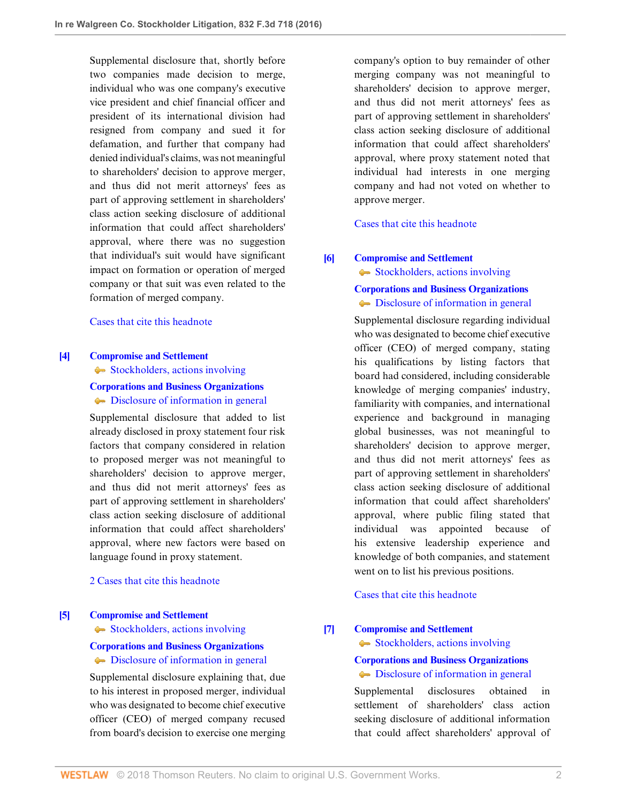Supplemental disclosure that, shortly before two companies made decision to merge, individual who was one company's executive vice president and chief financial officer and president of its international division had resigned from company and sued it for defamation, and further that company had denied individual's claims, was not meaningful to shareholders' decision to approve merger, and thus did not merit attorneys' fees as part of approving settlement in shareholders' class action seeking disclosure of additional information that could affect shareholders' approval, where there was no suggestion that individual's suit would have significant impact on formation or operation of merged company or that suit was even related to the formation of merged company.

### [Cases that cite this headnote](http://www.westlaw.com/Link/RelatedInformation/DocHeadnoteLink?docGuid=I6cba8df05f9511e69981dc2250b07c82&headnoteId=203954820700520171208075508&originationContext=document&vr=3.0&rs=cblt1.0&transitionType=CitingReferences&contextData=(sc.UserEnteredCitation))

#### <span id="page-1-1"></span>**[\[4\]](#page-4-2) [Compromise and Settlement](http://www.westlaw.com/Browse/Home/KeyNumber/89/View.html?docGuid=I6cba8df05f9511e69981dc2250b07c82&originationContext=document&vr=3.0&rs=cblt1.0&transitionType=DocumentItem&contextData=(sc.UserEnteredCitation))**

[Stockholders, actions involving](http://www.westlaw.com/Browse/Home/KeyNumber/89k63/View.html?docGuid=I6cba8df05f9511e69981dc2250b07c82&originationContext=document&vr=3.0&rs=cblt1.0&transitionType=DocumentItem&contextData=(sc.UserEnteredCitation))

# **[Corporations and Business Organizations](http://www.westlaw.com/Browse/Home/KeyNumber/101/View.html?docGuid=I6cba8df05f9511e69981dc2250b07c82&originationContext=document&vr=3.0&rs=cblt1.0&transitionType=DocumentItem&contextData=(sc.UserEnteredCitation))**  $\bullet$  [Disclosure of information in general](http://www.westlaw.com/Browse/Home/KeyNumber/101k2663/View.html?docGuid=I6cba8df05f9511e69981dc2250b07c82&originationContext=document&vr=3.0&rs=cblt1.0&transitionType=DocumentItem&contextData=(sc.UserEnteredCitation))

Supplemental disclosure that added to list already disclosed in proxy statement four risk factors that company considered in relation to proposed merger was not meaningful to shareholders' decision to approve merger, and thus did not merit attorneys' fees as part of approving settlement in shareholders' class action seeking disclosure of additional information that could affect shareholders' approval, where new factors were based on language found in proxy statement.

# [2 Cases that cite this headnote](http://www.westlaw.com/Link/RelatedInformation/DocHeadnoteLink?docGuid=I6cba8df05f9511e69981dc2250b07c82&headnoteId=203954820700620171208075508&originationContext=document&vr=3.0&rs=cblt1.0&transitionType=CitingReferences&contextData=(sc.UserEnteredCitation))

### <span id="page-1-2"></span>**[\[5\]](#page-4-3) [Compromise and Settlement](http://www.westlaw.com/Browse/Home/KeyNumber/89/View.html?docGuid=I6cba8df05f9511e69981dc2250b07c82&originationContext=document&vr=3.0&rs=cblt1.0&transitionType=DocumentItem&contextData=(sc.UserEnteredCitation))**

[Stockholders, actions involving](http://www.westlaw.com/Browse/Home/KeyNumber/89k63/View.html?docGuid=I6cba8df05f9511e69981dc2250b07c82&originationContext=document&vr=3.0&rs=cblt1.0&transitionType=DocumentItem&contextData=(sc.UserEnteredCitation))

### **[Corporations and Business Organizations](http://www.westlaw.com/Browse/Home/KeyNumber/101/View.html?docGuid=I6cba8df05f9511e69981dc2250b07c82&originationContext=document&vr=3.0&rs=cblt1.0&transitionType=DocumentItem&contextData=(sc.UserEnteredCitation))**

 $\rightarrow$  [Disclosure of information in general](http://www.westlaw.com/Browse/Home/KeyNumber/101k2663/View.html?docGuid=I6cba8df05f9511e69981dc2250b07c82&originationContext=document&vr=3.0&rs=cblt1.0&transitionType=DocumentItem&contextData=(sc.UserEnteredCitation))

Supplemental disclosure explaining that, due to his interest in proposed merger, individual who was designated to become chief executive officer (CEO) of merged company recused from board's decision to exercise one merging company's option to buy remainder of other merging company was not meaningful to shareholders' decision to approve merger, and thus did not merit attorneys' fees as part of approving settlement in shareholders' class action seeking disclosure of additional information that could affect shareholders' approval, where proxy statement noted that individual had interests in one merging company and had not voted on whether to approve merger.

[Cases that cite this headnote](http://www.westlaw.com/Link/RelatedInformation/DocHeadnoteLink?docGuid=I6cba8df05f9511e69981dc2250b07c82&headnoteId=203954820700720171208075508&originationContext=document&vr=3.0&rs=cblt1.0&transitionType=CitingReferences&contextData=(sc.UserEnteredCitation))

# <span id="page-1-3"></span>**[\[6\]](#page-4-4) [Compromise and Settlement](http://www.westlaw.com/Browse/Home/KeyNumber/89/View.html?docGuid=I6cba8df05f9511e69981dc2250b07c82&originationContext=document&vr=3.0&rs=cblt1.0&transitionType=DocumentItem&contextData=(sc.UserEnteredCitation))**

[Stockholders, actions involving](http://www.westlaw.com/Browse/Home/KeyNumber/89k63/View.html?docGuid=I6cba8df05f9511e69981dc2250b07c82&originationContext=document&vr=3.0&rs=cblt1.0&transitionType=DocumentItem&contextData=(sc.UserEnteredCitation))

# **[Corporations and Business Organizations](http://www.westlaw.com/Browse/Home/KeyNumber/101/View.html?docGuid=I6cba8df05f9511e69981dc2250b07c82&originationContext=document&vr=3.0&rs=cblt1.0&transitionType=DocumentItem&contextData=(sc.UserEnteredCitation))**  $\bullet$  [Disclosure of information in general](http://www.westlaw.com/Browse/Home/KeyNumber/101k2663/View.html?docGuid=I6cba8df05f9511e69981dc2250b07c82&originationContext=document&vr=3.0&rs=cblt1.0&transitionType=DocumentItem&contextData=(sc.UserEnteredCitation))

Supplemental disclosure regarding individual who was designated to become chief executive officer (CEO) of merged company, stating his qualifications by listing factors that board had considered, including considerable knowledge of merging companies' industry, familiarity with companies, and international experience and background in managing global businesses, was not meaningful to shareholders' decision to approve merger, and thus did not merit attorneys' fees as part of approving settlement in shareholders' class action seeking disclosure of additional information that could affect shareholders' approval, where public filing stated that individual was appointed because of his extensive leadership experience and knowledge of both companies, and statement went on to list his previous positions.

## [Cases that cite this headnote](http://www.westlaw.com/Link/RelatedInformation/DocHeadnoteLink?docGuid=I6cba8df05f9511e69981dc2250b07c82&headnoteId=203954820700820171208075508&originationContext=document&vr=3.0&rs=cblt1.0&transitionType=CitingReferences&contextData=(sc.UserEnteredCitation))

## <span id="page-1-0"></span>**[\[7\]](#page-4-5) [Compromise and Settlement](http://www.westlaw.com/Browse/Home/KeyNumber/89/View.html?docGuid=I6cba8df05f9511e69981dc2250b07c82&originationContext=document&vr=3.0&rs=cblt1.0&transitionType=DocumentItem&contextData=(sc.UserEnteredCitation))**

[Stockholders, actions involving](http://www.westlaw.com/Browse/Home/KeyNumber/89k63/View.html?docGuid=I6cba8df05f9511e69981dc2250b07c82&originationContext=document&vr=3.0&rs=cblt1.0&transitionType=DocumentItem&contextData=(sc.UserEnteredCitation))

## **[Corporations and Business Organizations](http://www.westlaw.com/Browse/Home/KeyNumber/101/View.html?docGuid=I6cba8df05f9511e69981dc2250b07c82&originationContext=document&vr=3.0&rs=cblt1.0&transitionType=DocumentItem&contextData=(sc.UserEnteredCitation))**  $\bullet$  [Disclosure of information in general](http://www.westlaw.com/Browse/Home/KeyNumber/101k2663/View.html?docGuid=I6cba8df05f9511e69981dc2250b07c82&originationContext=document&vr=3.0&rs=cblt1.0&transitionType=DocumentItem&contextData=(sc.UserEnteredCitation))

Supplemental disclosures obtained in settlement of shareholders' class action seeking disclosure of additional information that could affect shareholders' approval of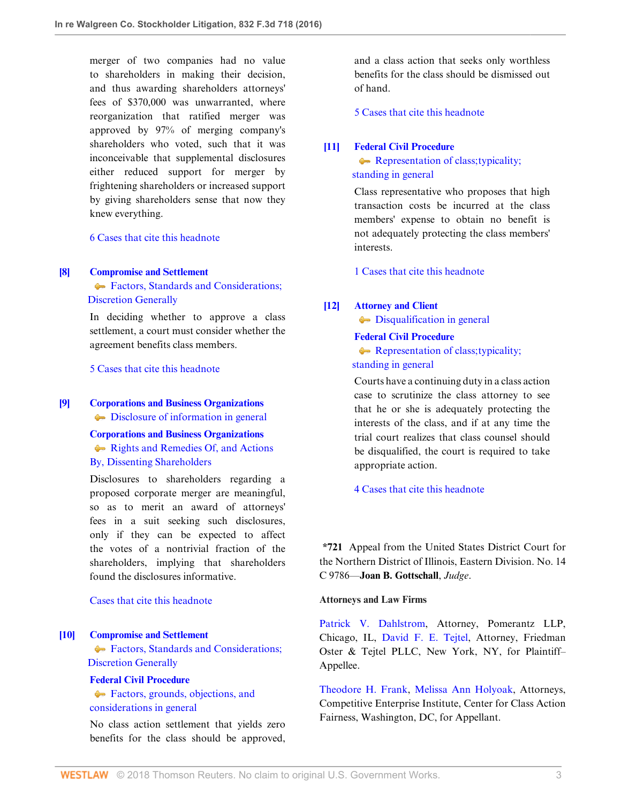merger of two companies had no value to shareholders in making their decision, and thus awarding shareholders attorneys' fees of \$370,000 was unwarranted, where reorganization that ratified merger was approved by 97% of merging company's shareholders who voted, such that it was inconceivable that supplemental disclosures either reduced support for merger by frightening shareholders or increased support by giving shareholders sense that now they knew everything.

[6 Cases that cite this headnote](http://www.westlaw.com/Link/RelatedInformation/DocHeadnoteLink?docGuid=I6cba8df05f9511e69981dc2250b07c82&headnoteId=203954820700920171208075508&originationContext=document&vr=3.0&rs=cblt1.0&transitionType=CitingReferences&contextData=(sc.UserEnteredCitation))

#### <span id="page-2-0"></span>**[\[8\]](#page-4-6) [Compromise and Settlement](http://www.westlaw.com/Browse/Home/KeyNumber/89/View.html?docGuid=I6cba8df05f9511e69981dc2250b07c82&originationContext=document&vr=3.0&rs=cblt1.0&transitionType=DocumentItem&contextData=(sc.UserEnteredCitation))**

Factors, Standards and Considerations;  [Discretion Generally](http://www.westlaw.com/Browse/Home/KeyNumber/89k56/View.html?docGuid=I6cba8df05f9511e69981dc2250b07c82&originationContext=document&vr=3.0&rs=cblt1.0&transitionType=DocumentItem&contextData=(sc.UserEnteredCitation))

In deciding whether to approve a class settlement, a court must consider whether the agreement benefits class members.

[5 Cases that cite this headnote](http://www.westlaw.com/Link/RelatedInformation/DocHeadnoteLink?docGuid=I6cba8df05f9511e69981dc2250b07c82&headnoteId=203954820700120171208075508&originationContext=document&vr=3.0&rs=cblt1.0&transitionType=CitingReferences&contextData=(sc.UserEnteredCitation))

### <span id="page-2-1"></span>**[\[9\]](#page-4-7) [Corporations and Business Organizations](http://www.westlaw.com/Browse/Home/KeyNumber/101/View.html?docGuid=I6cba8df05f9511e69981dc2250b07c82&originationContext=document&vr=3.0&rs=cblt1.0&transitionType=DocumentItem&contextData=(sc.UserEnteredCitation))**

 $\bullet$  [Disclosure of information in general](http://www.westlaw.com/Browse/Home/KeyNumber/101k2663/View.html?docGuid=I6cba8df05f9511e69981dc2250b07c82&originationContext=document&vr=3.0&rs=cblt1.0&transitionType=DocumentItem&contextData=(sc.UserEnteredCitation))

**[Corporations and Business Organizations](http://www.westlaw.com/Browse/Home/KeyNumber/101/View.html?docGuid=I6cba8df05f9511e69981dc2250b07c82&originationContext=document&vr=3.0&rs=cblt1.0&transitionType=DocumentItem&contextData=(sc.UserEnteredCitation))** [Rights and Remedies Of, and Actions](http://www.westlaw.com/Browse/Home/KeyNumber/101k2666/View.html?docGuid=I6cba8df05f9511e69981dc2250b07c82&originationContext=document&vr=3.0&rs=cblt1.0&transitionType=DocumentItem&contextData=(sc.UserEnteredCitation)) [By, Dissenting Shareholders](http://www.westlaw.com/Browse/Home/KeyNumber/101k2666/View.html?docGuid=I6cba8df05f9511e69981dc2250b07c82&originationContext=document&vr=3.0&rs=cblt1.0&transitionType=DocumentItem&contextData=(sc.UserEnteredCitation))

Disclosures to shareholders regarding a proposed corporate merger are meaningful, so as to merit an award of attorneys' fees in a suit seeking such disclosures, only if they can be expected to affect the votes of a nontrivial fraction of the shareholders, implying that shareholders found the disclosures informative.

## [Cases that cite this headnote](http://www.westlaw.com/Link/RelatedInformation/DocHeadnoteLink?docGuid=I6cba8df05f9511e69981dc2250b07c82&headnoteId=203954820700220171208075508&originationContext=document&vr=3.0&rs=cblt1.0&transitionType=CitingReferences&contextData=(sc.UserEnteredCitation))

## <span id="page-2-2"></span>**[\[10\]](#page-5-0) [Compromise and Settlement](http://www.westlaw.com/Browse/Home/KeyNumber/89/View.html?docGuid=I6cba8df05f9511e69981dc2250b07c82&originationContext=document&vr=3.0&rs=cblt1.0&transitionType=DocumentItem&contextData=(sc.UserEnteredCitation))**

**Factors, Standards and Considerations;**  [Discretion Generally](http://www.westlaw.com/Browse/Home/KeyNumber/89k56/View.html?docGuid=I6cba8df05f9511e69981dc2250b07c82&originationContext=document&vr=3.0&rs=cblt1.0&transitionType=DocumentItem&contextData=(sc.UserEnteredCitation))

## **[Federal Civil Procedure](http://www.westlaw.com/Browse/Home/KeyNumber/170A/View.html?docGuid=I6cba8df05f9511e69981dc2250b07c82&originationContext=document&vr=3.0&rs=cblt1.0&transitionType=DocumentItem&contextData=(sc.UserEnteredCitation))**

[Factors, grounds, objections, and](http://www.westlaw.com/Browse/Home/KeyNumber/170Ak161.1/View.html?docGuid=I6cba8df05f9511e69981dc2250b07c82&originationContext=document&vr=3.0&rs=cblt1.0&transitionType=DocumentItem&contextData=(sc.UserEnteredCitation)) [considerations in general](http://www.westlaw.com/Browse/Home/KeyNumber/170Ak161.1/View.html?docGuid=I6cba8df05f9511e69981dc2250b07c82&originationContext=document&vr=3.0&rs=cblt1.0&transitionType=DocumentItem&contextData=(sc.UserEnteredCitation))

No class action settlement that yields zero benefits for the class should be approved, and a class action that seeks only worthless benefits for the class should be dismissed out of hand.

[5 Cases that cite this headnote](http://www.westlaw.com/Link/RelatedInformation/DocHeadnoteLink?docGuid=I6cba8df05f9511e69981dc2250b07c82&headnoteId=203954820701020171208075508&originationContext=document&vr=3.0&rs=cblt1.0&transitionType=CitingReferences&contextData=(sc.UserEnteredCitation))

#### <span id="page-2-3"></span>**[\[11\]](#page-6-0) [Federal Civil Procedure](http://www.westlaw.com/Browse/Home/KeyNumber/170A/View.html?docGuid=I6cba8df05f9511e69981dc2250b07c82&originationContext=document&vr=3.0&rs=cblt1.0&transitionType=DocumentItem&contextData=(sc.UserEnteredCitation))**

Representation of class; typicality;  [standing in general](http://www.westlaw.com/Browse/Home/KeyNumber/170Ak164/View.html?docGuid=I6cba8df05f9511e69981dc2250b07c82&originationContext=document&vr=3.0&rs=cblt1.0&transitionType=DocumentItem&contextData=(sc.UserEnteredCitation))

Class representative who proposes that high transaction costs be incurred at the class members' expense to obtain no benefit is not adequately protecting the class members' interests.

[1 Cases that cite this headnote](http://www.westlaw.com/Link/RelatedInformation/DocHeadnoteLink?docGuid=I6cba8df05f9511e69981dc2250b07c82&headnoteId=203954820701120171208075508&originationContext=document&vr=3.0&rs=cblt1.0&transitionType=CitingReferences&contextData=(sc.UserEnteredCitation))

### <span id="page-2-4"></span>**[\[12\]](#page-6-1) [Attorney and Client](http://www.westlaw.com/Browse/Home/KeyNumber/45/View.html?docGuid=I6cba8df05f9511e69981dc2250b07c82&originationContext=document&vr=3.0&rs=cblt1.0&transitionType=DocumentItem&contextData=(sc.UserEnteredCitation))**

 $\rightarrow$  [Disqualification in general](http://www.westlaw.com/Browse/Home/KeyNumber/45k19/View.html?docGuid=I6cba8df05f9511e69981dc2250b07c82&originationContext=document&vr=3.0&rs=cblt1.0&transitionType=DocumentItem&contextData=(sc.UserEnteredCitation))

### **[Federal Civil Procedure](http://www.westlaw.com/Browse/Home/KeyNumber/170A/View.html?docGuid=I6cba8df05f9511e69981dc2250b07c82&originationContext=document&vr=3.0&rs=cblt1.0&transitionType=DocumentItem&contextData=(sc.UserEnteredCitation))**

Representation of class; typicality;  [standing in general](http://www.westlaw.com/Browse/Home/KeyNumber/170Ak164/View.html?docGuid=I6cba8df05f9511e69981dc2250b07c82&originationContext=document&vr=3.0&rs=cblt1.0&transitionType=DocumentItem&contextData=(sc.UserEnteredCitation))

Courts have a continuing duty in a class action case to scrutinize the class attorney to see that he or she is adequately protecting the interests of the class, and if at any time the trial court realizes that class counsel should be disqualified, the court is required to take appropriate action.

[4 Cases that cite this headnote](http://www.westlaw.com/Link/RelatedInformation/DocHeadnoteLink?docGuid=I6cba8df05f9511e69981dc2250b07c82&headnoteId=203954820701220171208075508&originationContext=document&vr=3.0&rs=cblt1.0&transitionType=CitingReferences&contextData=(sc.UserEnteredCitation))

**\*721** Appeal from the United States District Court for the Northern District of Illinois, Eastern Division. No. 14 C 9786—**Joan B. Gottschall**, *Judge*.

## **Attorneys and Law Firms**

[Patrick V. Dahlstrom](http://www.westlaw.com/Link/Document/FullText?findType=h&pubNum=176284&cite=0148483301&originatingDoc=I6cba8df05f9511e69981dc2250b07c82&refType=RQ&originationContext=document&vr=3.0&rs=cblt1.0&transitionType=DocumentItem&contextData=(sc.UserEnteredCitation)), Attorney, Pomerantz LLP, Chicago, IL, [David F. E. Tejtel,](http://www.westlaw.com/Link/Document/FullText?findType=h&pubNum=176284&cite=0409193001&originatingDoc=I6cba8df05f9511e69981dc2250b07c82&refType=RQ&originationContext=document&vr=3.0&rs=cblt1.0&transitionType=DocumentItem&contextData=(sc.UserEnteredCitation)) Attorney, Friedman Oster & Tejtel PLLC, New York, NY, for Plaintiff– Appellee.

[Theodore H. Frank](http://www.westlaw.com/Link/Document/FullText?findType=h&pubNum=176284&cite=0325182201&originatingDoc=I6cba8df05f9511e69981dc2250b07c82&refType=RQ&originationContext=document&vr=3.0&rs=cblt1.0&transitionType=DocumentItem&contextData=(sc.UserEnteredCitation)), [Melissa Ann Holyoak,](http://www.westlaw.com/Link/Document/FullText?findType=h&pubNum=176284&cite=0333696401&originatingDoc=I6cba8df05f9511e69981dc2250b07c82&refType=RQ&originationContext=document&vr=3.0&rs=cblt1.0&transitionType=DocumentItem&contextData=(sc.UserEnteredCitation)) Attorneys, Competitive Enterprise Institute, Center for Class Action Fairness, Washington, DC, for Appellant.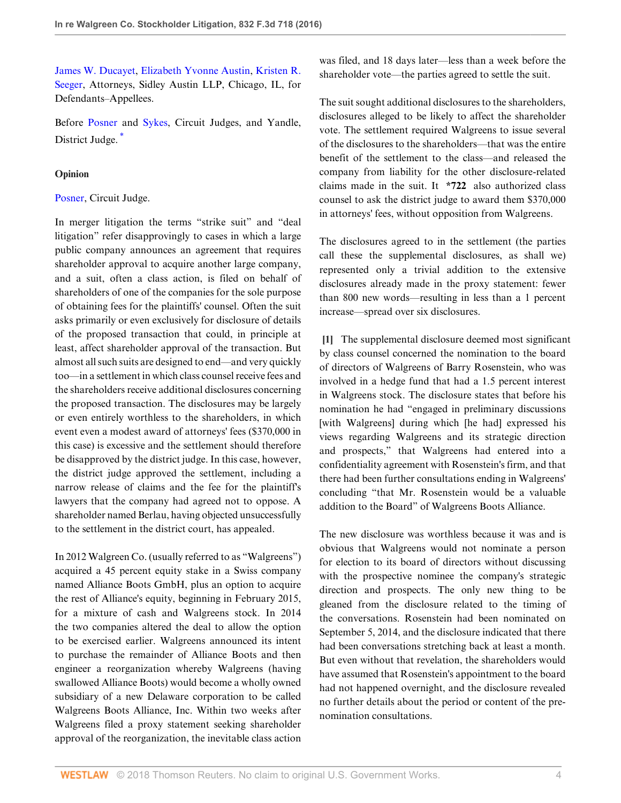[James W. Ducayet,](http://www.westlaw.com/Link/Document/FullText?findType=h&pubNum=176284&cite=0146357201&originatingDoc=I6cba8df05f9511e69981dc2250b07c82&refType=RQ&originationContext=document&vr=3.0&rs=cblt1.0&transitionType=DocumentItem&contextData=(sc.UserEnteredCitation)) [Elizabeth Yvonne Austin,](http://www.westlaw.com/Link/Document/FullText?findType=h&pubNum=176284&cite=0489684799&originatingDoc=I6cba8df05f9511e69981dc2250b07c82&refType=RQ&originationContext=document&vr=3.0&rs=cblt1.0&transitionType=DocumentItem&contextData=(sc.UserEnteredCitation)) [Kristen R.](http://www.westlaw.com/Link/Document/FullText?findType=h&pubNum=176284&cite=0329066601&originatingDoc=I6cba8df05f9511e69981dc2250b07c82&refType=RQ&originationContext=document&vr=3.0&rs=cblt1.0&transitionType=DocumentItem&contextData=(sc.UserEnteredCitation)) [Seeger,](http://www.westlaw.com/Link/Document/FullText?findType=h&pubNum=176284&cite=0329066601&originatingDoc=I6cba8df05f9511e69981dc2250b07c82&refType=RQ&originationContext=document&vr=3.0&rs=cblt1.0&transitionType=DocumentItem&contextData=(sc.UserEnteredCitation)) Attorneys, Sidley Austin LLP, Chicago, IL, for Defendants–Appellees.

<span id="page-3-1"></span>Before [Posner](http://www.westlaw.com/Link/Document/FullText?findType=h&pubNum=176284&cite=0258143701&originatingDoc=I6cba8df05f9511e69981dc2250b07c82&refType=RQ&originationContext=document&vr=3.0&rs=cblt1.0&transitionType=DocumentItem&contextData=(sc.UserEnteredCitation)) and [Sykes](http://www.westlaw.com/Link/Document/FullText?findType=h&pubNum=176284&cite=0286765401&originatingDoc=I6cba8df05f9511e69981dc2250b07c82&refType=RQ&originationContext=document&vr=3.0&rs=cblt1.0&transitionType=DocumentItem&contextData=(sc.UserEnteredCitation)), Circuit Judges, and Yandle, District Judge.<sup>[\\*](#page-7-0)</sup>

## **Opinion**

## [Posner](http://www.westlaw.com/Link/Document/FullText?findType=h&pubNum=176284&cite=0258143701&originatingDoc=I6cba8df05f9511e69981dc2250b07c82&refType=RQ&originationContext=document&vr=3.0&rs=cblt1.0&transitionType=DocumentItem&contextData=(sc.UserEnteredCitation)), Circuit Judge.

In merger litigation the terms "strike suit" and "deal litigation" refer disapprovingly to cases in which a large public company announces an agreement that requires shareholder approval to acquire another large company, and a suit, often a class action, is filed on behalf of shareholders of one of the companies for the sole purpose of obtaining fees for the plaintiffs' counsel. Often the suit asks primarily or even exclusively for disclosure of details of the proposed transaction that could, in principle at least, affect shareholder approval of the transaction. But almost all such suits are designed to end—and very quickly too—in a settlement in which class counsel receive fees and the shareholders receive additional disclosures concerning the proposed transaction. The disclosures may be largely or even entirely worthless to the shareholders, in which event even a modest award of attorneys' fees (\$370,000 in this case) is excessive and the settlement should therefore be disapproved by the district judge. In this case, however, the district judge approved the settlement, including a narrow release of claims and the fee for the plaintiff's lawyers that the company had agreed not to oppose. A shareholder named Berlau, having objected unsuccessfully to the settlement in the district court, has appealed.

In 2012 Walgreen Co. (usually referred to as "Walgreens") acquired a 45 percent equity stake in a Swiss company named Alliance Boots GmbH, plus an option to acquire the rest of Alliance's equity, beginning in February 2015, for a mixture of cash and Walgreens stock. In 2014 the two companies altered the deal to allow the option to be exercised earlier. Walgreens announced its intent to purchase the remainder of Alliance Boots and then engineer a reorganization whereby Walgreens (having swallowed Alliance Boots) would become a wholly owned subsidiary of a new Delaware corporation to be called Walgreens Boots Alliance, Inc. Within two weeks after Walgreens filed a proxy statement seeking shareholder approval of the reorganization, the inevitable class action was filed, and 18 days later—less than a week before the shareholder vote—the parties agreed to settle the suit.

The suit sought additional disclosures to the shareholders, disclosures alleged to be likely to affect the shareholder vote. The settlement required Walgreens to issue several of the disclosures to the shareholders—that was the entire benefit of the settlement to the class—and released the company from liability for the other disclosure-related claims made in the suit. It **\*722** also authorized class counsel to ask the district judge to award them \$370,000 in attorneys' fees, without opposition from Walgreens.

The disclosures agreed to in the settlement (the parties call these the supplemental disclosures, as shall we) represented only a trivial addition to the extensive disclosures already made in the proxy statement: fewer than 800 new words—resulting in less than a 1 percent increase—spread over six disclosures.

<span id="page-3-0"></span>**[\[1](#page-0-0)]** The supplemental disclosure deemed most significant by class counsel concerned the nomination to the board of directors of Walgreens of Barry Rosenstein, who was involved in a hedge fund that had a 1.5 percent interest in Walgreens stock. The disclosure states that before his nomination he had "engaged in preliminary discussions [with Walgreens] during which [he had] expressed his views regarding Walgreens and its strategic direction and prospects," that Walgreens had entered into a confidentiality agreement with Rosenstein's firm, and that there had been further consultations ending in Walgreens' concluding "that Mr. Rosenstein would be a valuable addition to the Board" of Walgreens Boots Alliance.

The new disclosure was worthless because it was and is obvious that Walgreens would not nominate a person for election to its board of directors without discussing with the prospective nominee the company's strategic direction and prospects. The only new thing to be gleaned from the disclosure related to the timing of the conversations. Rosenstein had been nominated on September 5, 2014, and the disclosure indicated that there had been conversations stretching back at least a month. But even without that revelation, the shareholders would have assumed that Rosenstein's appointment to the board had not happened overnight, and the disclosure revealed no further details about the period or content of the prenomination consultations.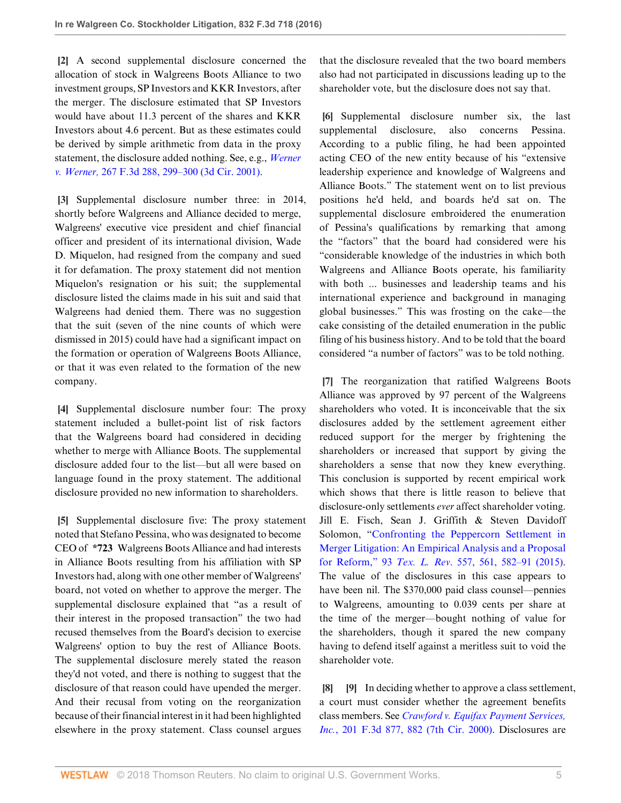<span id="page-4-0"></span>**[\[2](#page-0-1)]** A second supplemental disclosure concerned the allocation of stock in Walgreens Boots Alliance to two investment groups, SP Investors and KKR Investors, after the merger. The disclosure estimated that SP Investors would have about 11.3 percent of the shares and KKR Investors about 4.6 percent. But as these estimates could be derived by simple arithmetic from data in the proxy statement, the disclosure added nothing. See, e.g., *[Werner](http://www.westlaw.com/Link/Document/FullText?findType=Y&serNum=2001828829&pubNum=0000506&originatingDoc=I6cba8df05f9511e69981dc2250b07c82&refType=RP&fi=co_pp_sp_506_299&originationContext=document&vr=3.0&rs=cblt1.0&transitionType=DocumentItem&contextData=(sc.UserEnteredCitation)#co_pp_sp_506_299) v. Werner,* [267 F.3d 288, 299–300 \(3d Cir. 2001\)](http://www.westlaw.com/Link/Document/FullText?findType=Y&serNum=2001828829&pubNum=0000506&originatingDoc=I6cba8df05f9511e69981dc2250b07c82&refType=RP&fi=co_pp_sp_506_299&originationContext=document&vr=3.0&rs=cblt1.0&transitionType=DocumentItem&contextData=(sc.UserEnteredCitation)#co_pp_sp_506_299).

<span id="page-4-1"></span>**[\[3](#page-0-2)]** Supplemental disclosure number three: in 2014, shortly before Walgreens and Alliance decided to merge, Walgreens' executive vice president and chief financial officer and president of its international division, Wade D. Miquelon, had resigned from the company and sued it for defamation. The proxy statement did not mention Miquelon's resignation or his suit; the supplemental disclosure listed the claims made in his suit and said that Walgreens had denied them. There was no suggestion that the suit (seven of the nine counts of which were dismissed in 2015) could have had a significant impact on the formation or operation of Walgreens Boots Alliance, or that it was even related to the formation of the new company.

<span id="page-4-2"></span>**[\[4](#page-1-1)]** Supplemental disclosure number four: The proxy statement included a bullet-point list of risk factors that the Walgreens board had considered in deciding whether to merge with Alliance Boots. The supplemental disclosure added four to the list—but all were based on language found in the proxy statement. The additional disclosure provided no new information to shareholders.

<span id="page-4-3"></span>**[\[5](#page-1-2)]** Supplemental disclosure five: The proxy statement noted that Stefano Pessina, who was designated to become CEO of **\*723** Walgreens Boots Alliance and had interests in Alliance Boots resulting from his affiliation with SP Investors had, along with one other member of Walgreens' board, not voted on whether to approve the merger. The supplemental disclosure explained that "as a result of their interest in the proposed transaction" the two had recused themselves from the Board's decision to exercise Walgreens' option to buy the rest of Alliance Boots. The supplemental disclosure merely stated the reason they'd not voted, and there is nothing to suggest that the disclosure of that reason could have upended the merger. And their recusal from voting on the reorganization because of their financial interest in it had been highlighted elsewhere in the proxy statement. Class counsel argues

that the disclosure revealed that the two board members also had not participated in discussions leading up to the shareholder vote, but the disclosure does not say that.

<span id="page-4-4"></span>**[\[6](#page-1-3)]** Supplemental disclosure number six, the last supplemental disclosure, also concerns Pessina. According to a public filing, he had been appointed acting CEO of the new entity because of his "extensive leadership experience and knowledge of Walgreens and Alliance Boots." The statement went on to list previous positions he'd held, and boards he'd sat on. The supplemental disclosure embroidered the enumeration of Pessina's qualifications by remarking that among the "factors" that the board had considered were his "considerable knowledge of the industries in which both Walgreens and Alliance Boots operate, his familiarity with both ... businesses and leadership teams and his international experience and background in managing global businesses." This was frosting on the cake—the cake consisting of the detailed enumeration in the public filing of his business history. And to be told that the board considered "a number of factors" was to be told nothing.

<span id="page-4-5"></span>**[\[7](#page-1-0)]** The reorganization that ratified Walgreens Boots Alliance was approved by 97 percent of the Walgreens shareholders who voted. It is inconceivable that the six disclosures added by the settlement agreement either reduced support for the merger by frightening the shareholders or increased that support by giving the shareholders a sense that now they knew everything. This conclusion is supported by recent empirical work which shows that there is little reason to believe that disclosure-only settlements *ever* affect shareholder voting. Jill E. Fisch, Sean J. Griffith & Steven Davidoff Solomon, "[Confronting the Peppercorn Settlement in](http://www.westlaw.com/Link/Document/FullText?findType=Y&serNum=0427095203&pubNum=0001251&originatingDoc=I6cba8df05f9511e69981dc2250b07c82&refType=LR&fi=co_pp_sp_1251_561&originationContext=document&vr=3.0&rs=cblt1.0&transitionType=DocumentItem&contextData=(sc.UserEnteredCitation)#co_pp_sp_1251_561) [Merger Litigation: An Empirical Analysis and a Proposal](http://www.westlaw.com/Link/Document/FullText?findType=Y&serNum=0427095203&pubNum=0001251&originatingDoc=I6cba8df05f9511e69981dc2250b07c82&refType=LR&fi=co_pp_sp_1251_561&originationContext=document&vr=3.0&rs=cblt1.0&transitionType=DocumentItem&contextData=(sc.UserEnteredCitation)#co_pp_sp_1251_561) for Reform," 93 *Tex. L. Rev*[. 557, 561, 582–91 \(2015\)](http://www.westlaw.com/Link/Document/FullText?findType=Y&serNum=0427095203&pubNum=0001251&originatingDoc=I6cba8df05f9511e69981dc2250b07c82&refType=LR&fi=co_pp_sp_1251_561&originationContext=document&vr=3.0&rs=cblt1.0&transitionType=DocumentItem&contextData=(sc.UserEnteredCitation)#co_pp_sp_1251_561). The value of the disclosures in this case appears to have been nil. The \$370,000 paid class counsel—pennies to Walgreens, amounting to 0.039 cents per share at the time of the merger—bought nothing of value for the shareholders, though it spared the new company having to defend itself against a meritless suit to void the shareholder vote.

<span id="page-4-7"></span><span id="page-4-6"></span>**[\[8](#page-2-0)] [\[9](#page-2-1)]** In deciding whether to approve a class settlement, a court must consider whether the agreement benefits class members. See *[Crawford v. Equifax Payment Services,](http://www.westlaw.com/Link/Document/FullText?findType=Y&serNum=2000027535&pubNum=0000506&originatingDoc=I6cba8df05f9511e69981dc2250b07c82&refType=RP&fi=co_pp_sp_506_882&originationContext=document&vr=3.0&rs=cblt1.0&transitionType=DocumentItem&contextData=(sc.UserEnteredCitation)#co_pp_sp_506_882) Inc.*[, 201 F.3d 877, 882 \(7th Cir. 2000\)](http://www.westlaw.com/Link/Document/FullText?findType=Y&serNum=2000027535&pubNum=0000506&originatingDoc=I6cba8df05f9511e69981dc2250b07c82&refType=RP&fi=co_pp_sp_506_882&originationContext=document&vr=3.0&rs=cblt1.0&transitionType=DocumentItem&contextData=(sc.UserEnteredCitation)#co_pp_sp_506_882). Disclosures are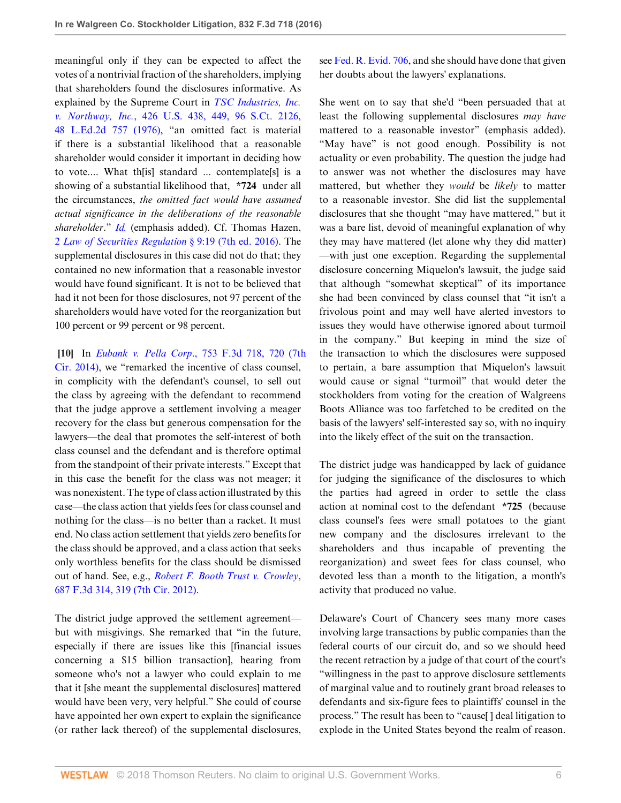meaningful only if they can be expected to affect the votes of a nontrivial fraction of the shareholders, implying that shareholders found the disclosures informative. As explained by the Supreme Court in *[TSC Industries, Inc.](http://www.westlaw.com/Link/Document/FullText?findType=Y&serNum=1976142400&pubNum=0000708&originatingDoc=I6cba8df05f9511e69981dc2250b07c82&refType=RP&originationContext=document&vr=3.0&rs=cblt1.0&transitionType=DocumentItem&contextData=(sc.UserEnteredCitation)) v. Northway, Inc.*[, 426 U.S. 438, 449, 96 S.Ct. 2126,](http://www.westlaw.com/Link/Document/FullText?findType=Y&serNum=1976142400&pubNum=0000708&originatingDoc=I6cba8df05f9511e69981dc2250b07c82&refType=RP&originationContext=document&vr=3.0&rs=cblt1.0&transitionType=DocumentItem&contextData=(sc.UserEnteredCitation)) [48 L.Ed.2d 757 \(1976\)](http://www.westlaw.com/Link/Document/FullText?findType=Y&serNum=1976142400&pubNum=0000708&originatingDoc=I6cba8df05f9511e69981dc2250b07c82&refType=RP&originationContext=document&vr=3.0&rs=cblt1.0&transitionType=DocumentItem&contextData=(sc.UserEnteredCitation)), "an omitted fact is material if there is a substantial likelihood that a reasonable shareholder would consider it important in deciding how to vote.... What th[is] standard ... contemplate[s] is a showing of a substantial likelihood that, **\*724** under all the circumstances, *the omitted fact would have assumed actual significance in the deliberations of the reasonable shareholder*." *[Id.](http://www.westlaw.com/Link/Document/FullText?findType=Y&serNum=1976142400&pubNum=0000780&originatingDoc=I6cba8df05f9511e69981dc2250b07c82&refType=RP&originationContext=document&vr=3.0&rs=cblt1.0&transitionType=DocumentItem&contextData=(sc.UserEnteredCitation))* (emphasis added). Cf. Thomas Hazen, 2 *[Law of Securities Regulation](http://www.westlaw.com/Link/Document/FullText?findType=Y&serNum=0442071900&pubNum=0136177&originatingDoc=I6cba8df05f9511e69981dc2250b07c82&refType=TS&originationContext=document&vr=3.0&rs=cblt1.0&transitionType=DocumentItem&contextData=(sc.UserEnteredCitation))* § 9:19 (7th ed. 2016). The supplemental disclosures in this case did not do that; they contained no new information that a reasonable investor would have found significant. It is not to be believed that had it not been for those disclosures, not 97 percent of the shareholders would have voted for the reorganization but 100 percent or 99 percent or 98 percent.

<span id="page-5-0"></span>**[\[10](#page-2-2)]** In *Eubank v. Pella Corp*[., 753 F.3d 718, 720 \(7th](http://www.westlaw.com/Link/Document/FullText?findType=Y&serNum=2033497849&pubNum=0000506&originatingDoc=I6cba8df05f9511e69981dc2250b07c82&refType=RP&fi=co_pp_sp_506_720&originationContext=document&vr=3.0&rs=cblt1.0&transitionType=DocumentItem&contextData=(sc.UserEnteredCitation)#co_pp_sp_506_720) [Cir. 2014\)](http://www.westlaw.com/Link/Document/FullText?findType=Y&serNum=2033497849&pubNum=0000506&originatingDoc=I6cba8df05f9511e69981dc2250b07c82&refType=RP&fi=co_pp_sp_506_720&originationContext=document&vr=3.0&rs=cblt1.0&transitionType=DocumentItem&contextData=(sc.UserEnteredCitation)#co_pp_sp_506_720), we "remarked the incentive of class counsel, in complicity with the defendant's counsel, to sell out the class by agreeing with the defendant to recommend that the judge approve a settlement involving a meager recovery for the class but generous compensation for the lawyers—the deal that promotes the self-interest of both class counsel and the defendant and is therefore optimal from the standpoint of their private interests." Except that in this case the benefit for the class was not meager; it was nonexistent. The type of class action illustrated by this case—the class action that yields fees for class counsel and nothing for the class—is no better than a racket. It must end. No class action settlement that yields zero benefits for the class should be approved, and a class action that seeks only worthless benefits for the class should be dismissed out of hand. See, e.g., *[Robert F. Booth Trust v. Crowley](http://www.westlaw.com/Link/Document/FullText?findType=Y&serNum=2027892919&pubNum=0000506&originatingDoc=I6cba8df05f9511e69981dc2250b07c82&refType=RP&fi=co_pp_sp_506_319&originationContext=document&vr=3.0&rs=cblt1.0&transitionType=DocumentItem&contextData=(sc.UserEnteredCitation)#co_pp_sp_506_319)*, [687 F.3d 314, 319 \(7th Cir. 2012\).](http://www.westlaw.com/Link/Document/FullText?findType=Y&serNum=2027892919&pubNum=0000506&originatingDoc=I6cba8df05f9511e69981dc2250b07c82&refType=RP&fi=co_pp_sp_506_319&originationContext=document&vr=3.0&rs=cblt1.0&transitionType=DocumentItem&contextData=(sc.UserEnteredCitation)#co_pp_sp_506_319)

The district judge approved the settlement agreement but with misgivings. She remarked that "in the future, especially if there are issues like this [financial issues concerning a \$15 billion transaction], hearing from someone who's not a lawyer who could explain to me that it [she meant the supplemental disclosures] mattered would have been very, very helpful." She could of course have appointed her own expert to explain the significance (or rather lack thereof) of the supplemental disclosures, see [Fed. R. Evid. 706,](http://www.westlaw.com/Link/Document/FullText?findType=L&pubNum=1000607&cite=USFRER706&originatingDoc=I6cba8df05f9511e69981dc2250b07c82&refType=LQ&originationContext=document&vr=3.0&rs=cblt1.0&transitionType=DocumentItem&contextData=(sc.UserEnteredCitation)) and she should have done that given her doubts about the lawyers' explanations.

She went on to say that she'd "been persuaded that at least the following supplemental disclosures *may have* mattered to a reasonable investor" (emphasis added). "May have" is not good enough. Possibility is not actuality or even probability. The question the judge had to answer was not whether the disclosures may have mattered, but whether they *would* be *likely* to matter to a reasonable investor. She did list the supplemental disclosures that she thought "may have mattered," but it was a bare list, devoid of meaningful explanation of why they may have mattered (let alone why they did matter) —with just one exception. Regarding the supplemental disclosure concerning Miquelon's lawsuit, the judge said that although "somewhat skeptical" of its importance she had been convinced by class counsel that "it isn't a frivolous point and may well have alerted investors to issues they would have otherwise ignored about turmoil in the company." But keeping in mind the size of the transaction to which the disclosures were supposed to pertain, a bare assumption that Miquelon's lawsuit would cause or signal "turmoil" that would deter the stockholders from voting for the creation of Walgreens Boots Alliance was too farfetched to be credited on the basis of the lawyers' self-interested say so, with no inquiry into the likely effect of the suit on the transaction.

The district judge was handicapped by lack of guidance for judging the significance of the disclosures to which the parties had agreed in order to settle the class action at nominal cost to the defendant **\*725** (because class counsel's fees were small potatoes to the giant new company and the disclosures irrelevant to the shareholders and thus incapable of preventing the reorganization) and sweet fees for class counsel, who devoted less than a month to the litigation, a month's activity that produced no value.

Delaware's Court of Chancery sees many more cases involving large transactions by public companies than the federal courts of our circuit do, and so we should heed the recent retraction by a judge of that court of the court's "willingness in the past to approve disclosure settlements of marginal value and to routinely grant broad releases to defendants and six-figure fees to plaintiffs' counsel in the process." The result has been to "cause[ ] deal litigation to explode in the United States beyond the realm of reason.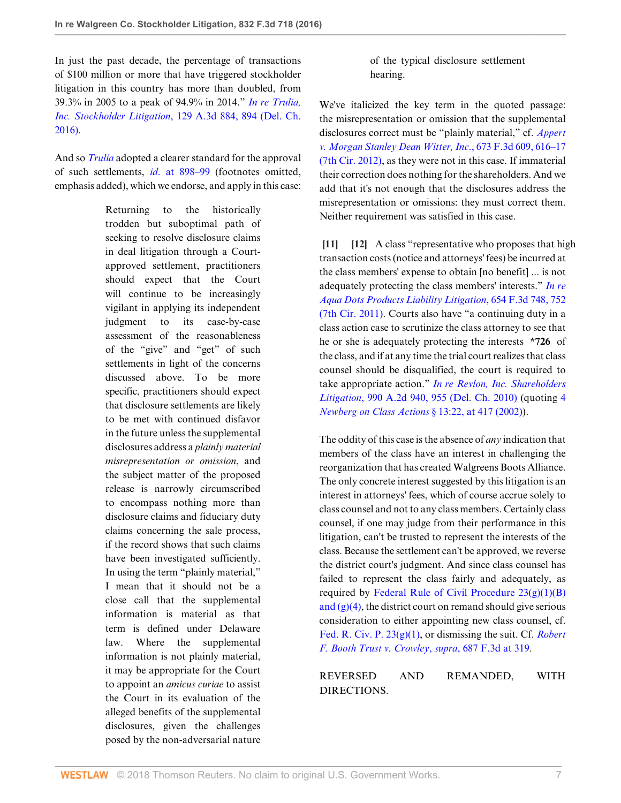In just the past decade, the percentage of transactions of \$100 million or more that have triggered stockholder litigation in this country has more than doubled, from 39.3% in 2005 to a peak of 94.9% in 2014." *[In re Trulia,](http://www.westlaw.com/Link/Document/FullText?findType=Y&serNum=2038171787&pubNum=0007691&originatingDoc=I6cba8df05f9511e69981dc2250b07c82&refType=RP&fi=co_pp_sp_7691_894&originationContext=document&vr=3.0&rs=cblt1.0&transitionType=DocumentItem&contextData=(sc.UserEnteredCitation)#co_pp_sp_7691_894) Inc. Stockholder Litigation*[, 129 A.3d 884, 894 \(Del. Ch.](http://www.westlaw.com/Link/Document/FullText?findType=Y&serNum=2038171787&pubNum=0007691&originatingDoc=I6cba8df05f9511e69981dc2250b07c82&refType=RP&fi=co_pp_sp_7691_894&originationContext=document&vr=3.0&rs=cblt1.0&transitionType=DocumentItem&contextData=(sc.UserEnteredCitation)#co_pp_sp_7691_894) [2016\)](http://www.westlaw.com/Link/Document/FullText?findType=Y&serNum=2038171787&pubNum=0007691&originatingDoc=I6cba8df05f9511e69981dc2250b07c82&refType=RP&fi=co_pp_sp_7691_894&originationContext=document&vr=3.0&rs=cblt1.0&transitionType=DocumentItem&contextData=(sc.UserEnteredCitation)#co_pp_sp_7691_894).

And so *[Trulia](http://www.westlaw.com/Link/Document/FullText?findType=Y&serNum=2038171787&pubNum=0007691&originatingDoc=I6cba8df05f9511e69981dc2250b07c82&refType=RP&originationContext=document&vr=3.0&rs=cblt1.0&transitionType=DocumentItem&contextData=(sc.UserEnteredCitation))* adopted a clearer standard for the approval of such settlements, *id*[. at 898–99](http://www.westlaw.com/Link/Document/FullText?findType=Y&serNum=2038171787&pubNum=0007691&originatingDoc=I6cba8df05f9511e69981dc2250b07c82&refType=RP&fi=co_pp_sp_7691_898&originationContext=document&vr=3.0&rs=cblt1.0&transitionType=DocumentItem&contextData=(sc.UserEnteredCitation)#co_pp_sp_7691_898) (footnotes omitted, emphasis added), which we endorse, and apply in this case:

> Returning to the historically trodden but suboptimal path of seeking to resolve disclosure claims in deal litigation through a Courtapproved settlement, practitioners should expect that the Court will continue to be increasingly vigilant in applying its independent judgment to its case-by-case assessment of the reasonableness of the "give" and "get" of such settlements in light of the concerns discussed above. To be more specific, practitioners should expect that disclosure settlements are likely to be met with continued disfavor in the future unless the supplemental disclosures address a *plainly material misrepresentation or omission*, and the subject matter of the proposed release is narrowly circumscribed to encompass nothing more than disclosure claims and fiduciary duty claims concerning the sale process, if the record shows that such claims have been investigated sufficiently. In using the term "plainly material," I mean that it should not be a close call that the supplemental information is material as that term is defined under Delaware law. Where the supplemental information is not plainly material, it may be appropriate for the Court to appoint an *amicus curiae* to assist the Court in its evaluation of the alleged benefits of the supplemental disclosures, given the challenges posed by the non-adversarial nature

of the typical disclosure settlement hearing.

We've italicized the key term in the quoted passage: the misrepresentation or omission that the supplemental disclosures correct must be "plainly material," cf. *[Appert](http://www.westlaw.com/Link/Document/FullText?findType=Y&serNum=2027274676&pubNum=0000506&originatingDoc=I6cba8df05f9511e69981dc2250b07c82&refType=RP&fi=co_pp_sp_506_616&originationContext=document&vr=3.0&rs=cblt1.0&transitionType=DocumentItem&contextData=(sc.UserEnteredCitation)#co_pp_sp_506_616) [v. Morgan Stanley Dean Witter, Inc](http://www.westlaw.com/Link/Document/FullText?findType=Y&serNum=2027274676&pubNum=0000506&originatingDoc=I6cba8df05f9511e69981dc2250b07c82&refType=RP&fi=co_pp_sp_506_616&originationContext=document&vr=3.0&rs=cblt1.0&transitionType=DocumentItem&contextData=(sc.UserEnteredCitation)#co_pp_sp_506_616)*., 673 F.3d 609, 616–17 [\(7th Cir. 2012\)](http://www.westlaw.com/Link/Document/FullText?findType=Y&serNum=2027274676&pubNum=0000506&originatingDoc=I6cba8df05f9511e69981dc2250b07c82&refType=RP&fi=co_pp_sp_506_616&originationContext=document&vr=3.0&rs=cblt1.0&transitionType=DocumentItem&contextData=(sc.UserEnteredCitation)#co_pp_sp_506_616), as they were not in this case. If immaterial their correction does nothing for the shareholders. And we add that it's not enough that the disclosures address the misrepresentation or omissions: they must correct them. Neither requirement was satisfied in this case.

<span id="page-6-1"></span><span id="page-6-0"></span>**[\[11](#page-2-3)] [\[12](#page-2-4)]** A class "representative who proposes that high transaction costs (notice and attorneys' fees) be incurred at the class members' expense to obtain [no benefit] ... is not adequately protecting the class members' interests." *[In re](http://www.westlaw.com/Link/Document/FullText?findType=Y&serNum=2025904922&pubNum=0000506&originatingDoc=I6cba8df05f9511e69981dc2250b07c82&refType=RP&fi=co_pp_sp_506_752&originationContext=document&vr=3.0&rs=cblt1.0&transitionType=DocumentItem&contextData=(sc.UserEnteredCitation)#co_pp_sp_506_752) [Aqua Dots Products Liability Litigation](http://www.westlaw.com/Link/Document/FullText?findType=Y&serNum=2025904922&pubNum=0000506&originatingDoc=I6cba8df05f9511e69981dc2250b07c82&refType=RP&fi=co_pp_sp_506_752&originationContext=document&vr=3.0&rs=cblt1.0&transitionType=DocumentItem&contextData=(sc.UserEnteredCitation)#co_pp_sp_506_752)*, 654 F.3d 748, 752 [\(7th Cir. 2011\).](http://www.westlaw.com/Link/Document/FullText?findType=Y&serNum=2025904922&pubNum=0000506&originatingDoc=I6cba8df05f9511e69981dc2250b07c82&refType=RP&fi=co_pp_sp_506_752&originationContext=document&vr=3.0&rs=cblt1.0&transitionType=DocumentItem&contextData=(sc.UserEnteredCitation)#co_pp_sp_506_752) Courts also have "a continuing duty in a class action case to scrutinize the class attorney to see that he or she is adequately protecting the interests **\*726** of the class, and if at any time the trial court realizes that class counsel should be disqualified, the court is required to take appropriate action." *[In re Revlon, Inc. Shareholders](http://www.westlaw.com/Link/Document/FullText?findType=Y&serNum=2021579394&pubNum=0000162&originatingDoc=I6cba8df05f9511e69981dc2250b07c82&refType=RP&fi=co_pp_sp_162_955&originationContext=document&vr=3.0&rs=cblt1.0&transitionType=DocumentItem&contextData=(sc.UserEnteredCitation)#co_pp_sp_162_955) Litigation*[, 990 A.2d 940, 955 \(Del. Ch. 2010\)](http://www.westlaw.com/Link/Document/FullText?findType=Y&serNum=2021579394&pubNum=0000162&originatingDoc=I6cba8df05f9511e69981dc2250b07c82&refType=RP&fi=co_pp_sp_162_955&originationContext=document&vr=3.0&rs=cblt1.0&transitionType=DocumentItem&contextData=(sc.UserEnteredCitation)#co_pp_sp_162_955) (quoting [4](http://www.westlaw.com/Link/Document/FullText?findType=Y&serNum=0292059163&pubNum=0113076&originatingDoc=I6cba8df05f9511e69981dc2250b07c82&refType=TS&originationContext=document&vr=3.0&rs=cblt1.0&transitionType=DocumentItem&contextData=(sc.UserEnteredCitation)) *[Newberg on Class Actions](http://www.westlaw.com/Link/Document/FullText?findType=Y&serNum=0292059163&pubNum=0113076&originatingDoc=I6cba8df05f9511e69981dc2250b07c82&refType=TS&originationContext=document&vr=3.0&rs=cblt1.0&transitionType=DocumentItem&contextData=(sc.UserEnteredCitation))* § 13:22, at 417 (2002)).

The oddity of this case is the absence of *any* indication that members of the class have an interest in challenging the reorganization that has created Walgreens Boots Alliance. The only concrete interest suggested by this litigation is an interest in attorneys' fees, which of course accrue solely to class counsel and not to any class members. Certainly class counsel, if one may judge from their performance in this litigation, can't be trusted to represent the interests of the class. Because the settlement can't be approved, we reverse the district court's judgment. And since class counsel has failed to represent the class fairly and adequately, as required by Federal Rule of Civil Procedure  $23(g)(1)(B)$ and  $(g)(4)$ , the district court on remand should give serious consideration to either appointing new class counsel, cf. [Fed. R. Civ. P. 23\(g\)\(1\)](http://www.westlaw.com/Link/Document/FullText?findType=L&pubNum=1000600&cite=USFRCPR23&originatingDoc=I6cba8df05f9511e69981dc2250b07c82&refType=LQ&originationContext=document&vr=3.0&rs=cblt1.0&transitionType=DocumentItem&contextData=(sc.UserEnteredCitation)), or dismissing the suit. Cf. *[Robert](http://www.westlaw.com/Link/Document/FullText?findType=Y&serNum=2027892919&pubNum=0000506&originatingDoc=I6cba8df05f9511e69981dc2250b07c82&refType=RP&fi=co_pp_sp_506_319&originationContext=document&vr=3.0&rs=cblt1.0&transitionType=DocumentItem&contextData=(sc.UserEnteredCitation)#co_pp_sp_506_319) [F. Booth Trust v. Crowley](http://www.westlaw.com/Link/Document/FullText?findType=Y&serNum=2027892919&pubNum=0000506&originatingDoc=I6cba8df05f9511e69981dc2250b07c82&refType=RP&fi=co_pp_sp_506_319&originationContext=document&vr=3.0&rs=cblt1.0&transitionType=DocumentItem&contextData=(sc.UserEnteredCitation)#co_pp_sp_506_319)*, *supra*, 687 F.3d at 319.

REVERSED AND REMANDED, WITH DIRECTIONS.